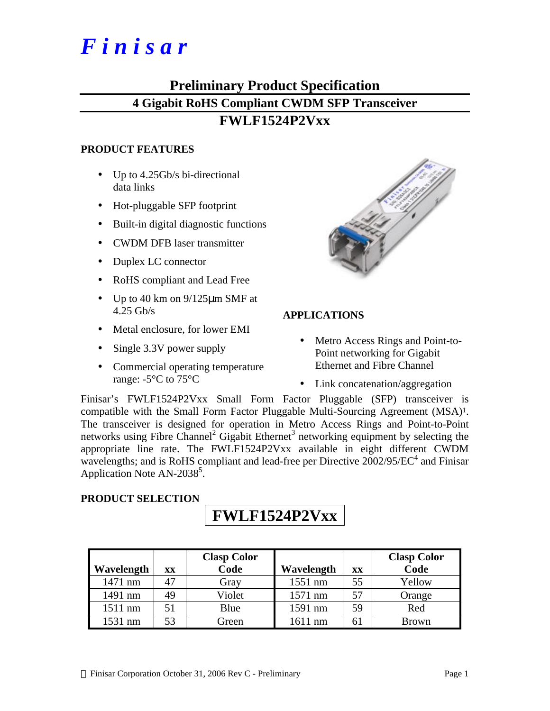# *F i n i s a r*

## **Preliminary Product Specification 4 Gigabit RoHS Compliant CWDM SFP Transceiver**

## **FWLF1524P2Vxx**

## **PRODUCT FEATURES**

- Up to 4.25Gb/s bi-directional data links
- Hot-pluggable SFP footprint
- Built-in digital diagnostic functions
- CWDM DFB laser transmitter
- Duplex LC connector
- RoHS compliant and Lead Free
- Up to 40 km on  $9/125 \mu m$  SMF at 4.25 Gb/s
- Metal enclosure, for lower EMI
- Single 3.3V power supply
- Commercial operating temperature range: -5°C to 75°C



## **APPLICATIONS**

- Metro Access Rings and Point-to-Point networking for Gigabit Ethernet and Fibre Channel
- Link concatenation/aggregation

Finisar's FWLF1524P2Vxx Small Form Factor Pluggable (SFP) transceiver is compatible with the Small Form Factor Pluggable Multi-Sourcing Agreement (MSA)1. The transceiver is designed for operation in Metro Access Rings and Point-to-Point networks using Fibre Channel<sup>2</sup> Gigabit Ethernet<sup>3</sup> networking equipment by selecting the appropriate line rate. The FWLF1524P2Vxx available in eight different CWDM wavelengths; and is RoHS compliant and lead-free per Directive  $2002/95/EC^4$  and Finisar Application Note AN-2038<sup>5</sup>.

## **PRODUCT SELECTION**

## **FWLF1524P2Vxx**

|            |    | <b>Clasp Color</b> |            |    | <b>Clasp Color</b> |
|------------|----|--------------------|------------|----|--------------------|
| Wavelength | XX | Code               | Wavelength | XX | Code               |
| 1471 nm    | 47 | Gray               | 1551 nm    | 55 | Yellow             |
| 1491 nm    | 49 | Violet             | 1571 nm    | 57 | Orange             |
| 1511 nm    | 51 | Blue               | 1591 nm    | 59 | Red                |
| 1531 nm    | 53 | Green              | $1611$ nm  |    | Brown              |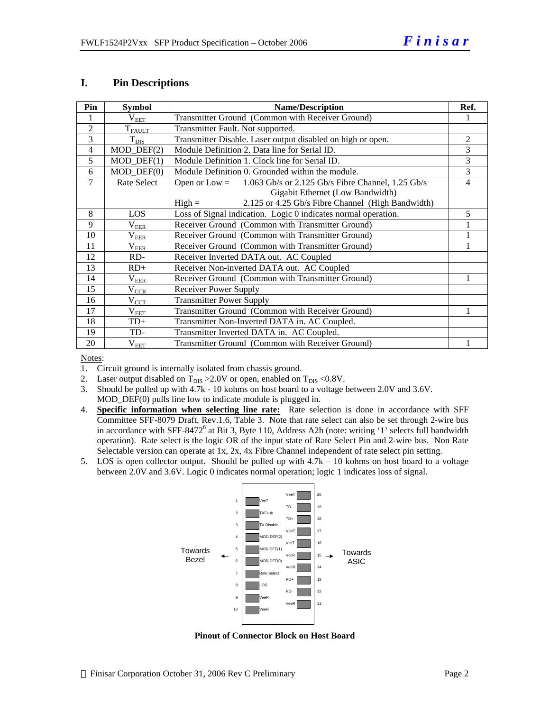### **I. Pin Descriptions**

| Pin            | <b>Symbol</b>               | <b>Name/Description</b>                                              | Ref.           |
|----------------|-----------------------------|----------------------------------------------------------------------|----------------|
|                | $\rm V_{EET}$               | Transmitter Ground (Common with Receiver Ground)                     |                |
| $\overline{2}$ | $T_{\text{FALLT}}$          | Transmitter Fault. Not supported.                                    |                |
| 3              | $T_{\text{DIS}}$            | Transmitter Disable. Laser output disabled on high or open.          | $\overline{c}$ |
| $\overline{4}$ | $MOD_$ DEF(2)               | Module Definition 2. Data line for Serial ID.                        | 3              |
| 5              | $MOD_$ <del>DEF</del> $(1)$ | Module Definition 1. Clock line for Serial ID.                       | 3              |
| 6              | $MOD_$ DEF $(0)$            | Module Definition 0. Grounded within the module.                     | 3              |
| 7              | Rate Select                 | 1.063 Gb/s or 2.125 Gb/s Fibre Channel, 1.25 Gb/s<br>Open or $Low =$ | 4              |
|                |                             | Gigabit Ethernet (Low Bandwidth)                                     |                |
|                |                             | 2.125 or 4.25 Gb/s Fibre Channel (High Bandwidth)<br>$High =$        |                |
| 8              | LOS                         | Loss of Signal indication. Logic 0 indicates normal operation.       | 5              |
| 9              | $\rm V_{EER}$               | Receiver Ground (Common with Transmitter Ground)                     |                |
| 10             | $\rm V_{EER}$               | Receiver Ground (Common with Transmitter Ground)                     |                |
| 11             | $V_{ER$                     | Receiver Ground (Common with Transmitter Ground)                     |                |
| 12             | RD-                         | Receiver Inverted DATA out. AC Coupled                               |                |
| 13             | $RD+$                       | Receiver Non-inverted DATA out. AC Coupled                           |                |
| 14             | $\rm V_{EER}$               | Receiver Ground (Common with Transmitter Ground)                     |                |
| 15             | $V_{CCR}$                   | <b>Receiver Power Supply</b>                                         |                |
| 16             | $\rm V_{CCT}$               | <b>Transmitter Power Supply</b>                                      |                |
| 17             | $\rm V_{EET}$               | Transmitter Ground (Common with Receiver Ground)                     | 1              |
| 18             | $TD+$                       | Transmitter Non-Inverted DATA in. AC Coupled.                        |                |
| 19             | TD-                         | Transmitter Inverted DATA in. AC Coupled.                            |                |
| 20             | $\rm V_{EET}$               | Transmitter Ground (Common with Receiver Ground)                     |                |

Notes:

- 1. Circuit ground is internally isolated from chassis ground.
- 2. Laser output disabled on  $T_{DIS} > 2.0V$  or open, enabled on  $T_{DIS} < 0.8V$ .
- 3. Should be pulled up with 4.7k 10 kohms on host board to a voltage between 2.0V and 3.6V. MOD\_DEF(0) pulls line low to indicate module is plugged in.
- 4. **Specific information when selecting line rate:** Rate selection is done in accordance with SFF Committee SFF-8079 Draft, Rev.1.6, Table 3. Note that rate select can also be set through 2-wire bus in accordance with SFF-8472<sup>6</sup> at Bit 3, Byte 110, Address A2h (note: writing '1' selects full bandwidth operation). Rate select is the logic OR of the input state of Rate Select Pin and 2-wire bus. Non Rate Selectable version can operate at 1x, 2x, 4x Fibre Channel independent of rate select pin setting.
- 5. LOS is open collector output. Should be pulled up with 4.7k 10 kohms on host board to a voltage between 2.0V and 3.6V. Logic 0 indicates normal operation; logic 1 indicates loss of signal.



**Pinout of Connector Block on Host Board**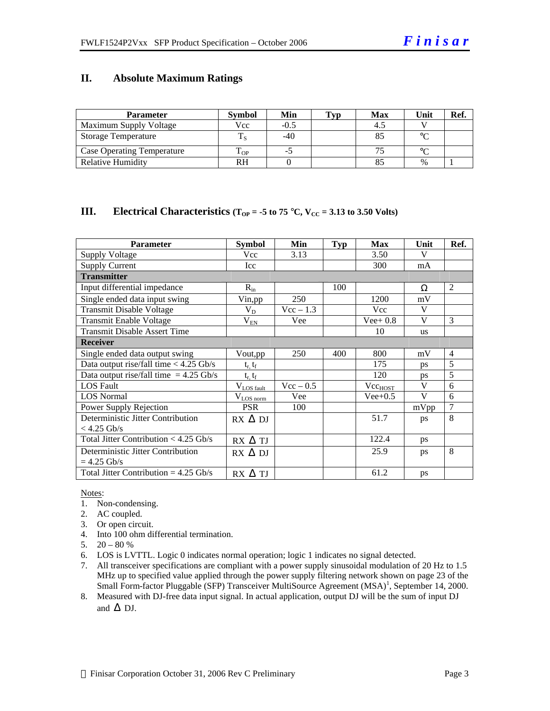## **II. Absolute Maximum Ratings**

| <b>Parameter</b>                  | <b>Symbol</b> | Min  | <b>Typ</b> | <b>Max</b> | Unit   | Ref. |
|-----------------------------------|---------------|------|------------|------------|--------|------|
| Maximum Supply Voltage            | Vcc           | -0.5 |            |            |        |      |
| <b>Storage Temperature</b>        |               | -40  |            |            | $\sim$ |      |
| <b>Case Operating Temperature</b> | m<br>L OP     | - 7  |            |            | $\sim$ |      |
| <b>Relative Humidity</b>          | RH            |      |            |            | $\%$   |      |

### **III. Electrical Characteristics**  $(T_{OP} = -5$  to 75 °C,  $V_{CC} = 3.13$  to 3.50 Volts)

| <b>Parameter</b>                         | <b>Symbol</b>   | Min         | Typ | <b>Max</b>   | Unit      | Ref.           |
|------------------------------------------|-----------------|-------------|-----|--------------|-----------|----------------|
| <b>Supply Voltage</b>                    | Vcc             | 3.13        |     | 3.50         | V         |                |
| <b>Supply Current</b>                    | Icc             |             |     | 300          | mA        |                |
| <b>Transmitter</b>                       |                 |             |     |              |           |                |
| Input differential impedance             | $R_{in}$        |             | 100 |              | Ω         | 2              |
| Single ended data input swing            | Vin,pp          | 250         |     | 1200         | mV        |                |
| <b>Transmit Disable Voltage</b>          | $V_D$           | $Vec - 1.3$ |     | Vcc          | V         |                |
| <b>Transmit Enable Voltage</b>           | $\rm V_{EN}$    | Vee         |     | $Vee+0.8$    | V         | $\mathcal{R}$  |
| <b>Transmit Disable Assert Time</b>      |                 |             |     | 10           | <b>us</b> |                |
| <b>Receiver</b>                          |                 |             |     |              |           |                |
| Single ended data output swing           | Vout,pp         | 250         | 400 | 800          | mV        | $\overline{4}$ |
| Data output rise/fall time $<$ 4.25 Gb/s | $t_r$ , $t_f$   |             |     | 175          | <b>ps</b> | 5              |
| Data output rise/fall time $= 4.25$ Gb/s | $t_r$ , $t_f$   |             |     | 120          | <b>DS</b> | 5              |
| <b>LOS Fault</b>                         | $V_{LOS$ fault  | $Vec - 0.5$ |     | $Vec_{HOST}$ | V         | 6              |
| <b>LOS</b> Normal                        | $V_{LOS\,norm}$ | Vee         |     | $Vee+0.5$    | V         | 6              |
| Power Supply Rejection                   | <b>PSR</b>      | 100         |     |              | mVpp      | $\overline{7}$ |
| Deterministic Jitter Contribution        | $RX \Delta DI$  |             |     | 51.7         | ps        | 8              |
| $< 4.25$ Gb/s                            |                 |             |     |              |           |                |
| Total Jitter Contribution $<$ 4.25 Gb/s  | $RX \Delta TI$  |             |     | 122.4        | ps        |                |
| Deterministic Jitter Contribution        | $RX \Delta DI$  |             |     | 25.9         | ps        | 8              |
| $= 4.25$ Gb/s                            |                 |             |     |              |           |                |
| Total Jitter Contribution = $4.25$ Gb/s  | $RX \Delta TI$  |             |     | 61.2         | ps        |                |

#### Notes:

- 1. Non-condensing.
- 2. AC coupled.
- 3. Or open circuit.
- 4. Into 100 ohm differential termination.
- 5.  $20 80 %$
- 6. LOS is LVTTL. Logic 0 indicates normal operation; logic 1 indicates no signal detected.
- 7. All transceiver specifications are compliant with a power supply sinusoidal modulation of 20 Hz to 1.5 MHz up to specified value applied through the power supply filtering network shown on page 23 of the Small Form-factor Pluggable (SFP) Transceiver MultiSource Agreement (MSA)<sup>1</sup>, September 14, 2000.
- 8. Measured with DJ-free data input signal. In actual application, output DJ will be the sum of input DJ and  $\Delta$  DJ.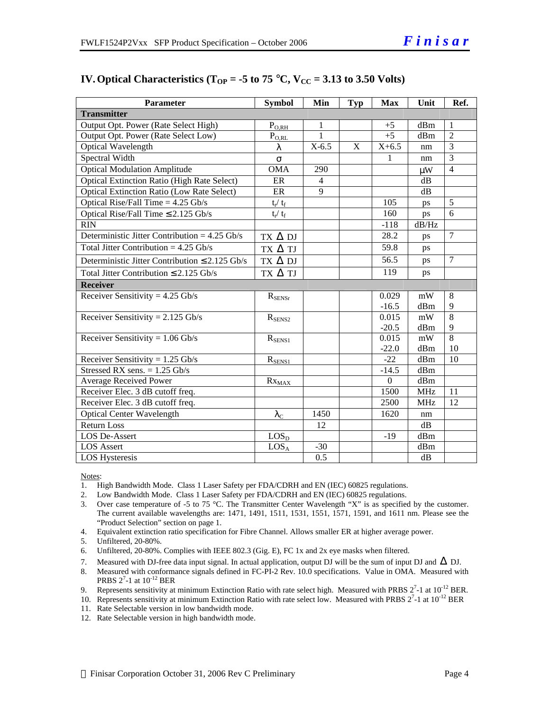| <b>Parameter</b>                                    | <b>Symbol</b>      | Min          | Typ         | <b>Max</b>       | Unit                                             | Ref.           |
|-----------------------------------------------------|--------------------|--------------|-------------|------------------|--------------------------------------------------|----------------|
| <b>Transmitter</b>                                  |                    |              |             |                  |                                                  |                |
| Output Opt. Power (Rate Select High)                | $P_{O, RH}$        | 1            |             | $+5$             | dBm                                              | $\mathbf{1}$   |
| Output Opt. Power (Rate Select Low)                 | $\rm P_{\rm O,RL}$ | $\mathbf{1}$ |             | $+5$             | dBm                                              | $\overline{2}$ |
| <b>Optical Wavelength</b>                           | λ                  | $X-6.5$      | $\mathbf X$ | $X+6.5$          | nm                                               | $\overline{3}$ |
| Spectral Width                                      | $\sigma$           |              |             | 1                | nm                                               | $\overline{3}$ |
| <b>Optical Modulation Amplitude</b>                 | <b>OMA</b>         | 290          |             |                  | $\mu$ W                                          | $\overline{4}$ |
| <b>Optical Extinction Ratio (High Rate Select)</b>  | ER                 | 4            |             |                  | dB                                               |                |
| <b>Optical Extinction Ratio (Low Rate Select)</b>   | ER                 | 9            |             |                  | dB                                               |                |
| Optical Rise/Fall Time $= 4.25$ Gb/s                | $t_r/ t_f$         |              |             | 105              | ps                                               | 5              |
| Optical Rise/Fall Time $\leq$ 2.125 Gb/s            | $t_r / t_f$        |              |             | 160              | ps                                               | 6              |
| RIN                                                 |                    |              |             | $-118$           | dB/Hz                                            |                |
| Deterministic Jitter Contribution = $4.25$ Gb/s     | $TX \Delta DI$     |              |             | 28.2             | ps                                               | $\overline{7}$ |
| Total Jitter Contribution = $4.25$ Gb/s             | TX $\Delta$ TJ     |              |             | 59.8             | ps                                               |                |
| Deterministic Jitter Contribution $\leq 2.125$ Gb/s | $TX \Delta DI$     |              |             | 56.5             | ps                                               | $\overline{7}$ |
| Total Jitter Contribution $\leq 2.125$ Gb/s         | TX $\Delta$ TJ     |              |             | 119              | ps                                               |                |
| <b>Receiver</b>                                     |                    |              |             |                  |                                                  |                |
| Receiver Sensitivity = $4.25$ Gb/s                  | $R_{SENSr}$        |              |             | 0.029            | mW                                               | 8              |
|                                                     |                    |              |             | $-16.5$          | dBm                                              | 9              |
| Receiver Sensitivity = $2.125$ Gb/s                 | $R_{SENS2}$        |              |             | 0.015            | $\ensuremath{\mathrm{m}}\ensuremath{\mathrm{W}}$ | $\overline{8}$ |
|                                                     |                    |              |             | $-20.5$          | dBm                                              | 9              |
| Receiver Sensitivity = $1.06$ Gb/s                  | $R_{SENS1}$        |              |             | 0.015            | mW                                               | $\overline{8}$ |
|                                                     |                    |              |             | $-22.0$          | dBm                                              | 10             |
| Receiver Sensitivity = $1.25$ Gb/s                  | $R_{SENS1}$        |              |             | $-22$            | dBm                                              | 10             |
| Stressed RX sens. $= 1.25$ Gb/s                     |                    |              |             | $-14.5$          | dBm                                              |                |
| Average Received Power                              | $Rx_{MAX}$         |              |             | $\boldsymbol{0}$ | dBm                                              |                |
| Receiver Elec. 3 dB cutoff freq.                    |                    |              |             | 1500             | <b>MHz</b>                                       | 11             |
| Receiver Elec. 3 dB cutoff freq.                    |                    |              |             | 2500             | <b>MHz</b>                                       | 12             |
| <b>Optical Center Wavelength</b>                    | $\lambda_{\rm C}$  | 1450         |             | 1620             | nm                                               |                |
| <b>Return Loss</b>                                  |                    | 12           |             |                  | dB                                               |                |
| LOS De-Assert                                       | LOS <sub>D</sub>   |              |             | $-19$            | dBm                                              |                |
| LOS Assert                                          | LOS <sub>A</sub>   | $-30$        |             |                  | dBm                                              |                |
| <b>LOS Hysteresis</b>                               |                    | 0.5          |             |                  | dB                                               |                |

## **IV.** Optical Characteristics ( $T_{OP}$  = -5 to 75 °C,  $V_{CC}$  = 3.13 to 3.50 Volts)

Notes:

- 1. High Bandwidth Mode. Class 1 Laser Safety per FDA/CDRH and EN (IEC) 60825 regulations.
- 2. Low Bandwidth Mode. Class 1 Laser Safety per FDA/CDRH and EN (IEC) 60825 regulations.
- 3. Over case temperature of -5 to 75 °C. The Transmitter Center Wavelength "X" is as specified by the customer. The current available wavelengths are: 1471, 1491, 1511, 1531, 1551, 1571, 1591, and 1611 nm. Please see the "Product Selection" section on page 1.
- 4. Equivalent extinction ratio specification for Fibre Channel. Allows smaller ER at higher average power.

5. Unfiltered, 20-80%.

- 6. Unfiltered, 20-80%. Complies with IEEE 802.3 (Gig. E), FC 1x and 2x eye masks when filtered.
- 7. Measured with DJ-free data input signal. In actual application, output DJ will be the sum of input DJ and  $\Delta$  DJ.
- 8. Measured with conformance signals defined in FC-PI-2 Rev. 10.0 specifications. Value in OMA. Measured with **PRBS**  $2^7$ -1 at  $10^{-12}$  BER
- 9. Represents sensitivity at minimum Extinction Ratio with rate select high. Measured with PRBS  $2^7$ -1 at  $10^{-12}$  BER.
- 10. Represents sensitivity at minimum Extinction Ratio with rate select low. Measured with PRBS  $2^7$ -1 at  $10^{-12}$  BER
- 11. Rate Selectable version in low bandwidth mode.
- 12. Rate Selectable version in high bandwidth mode.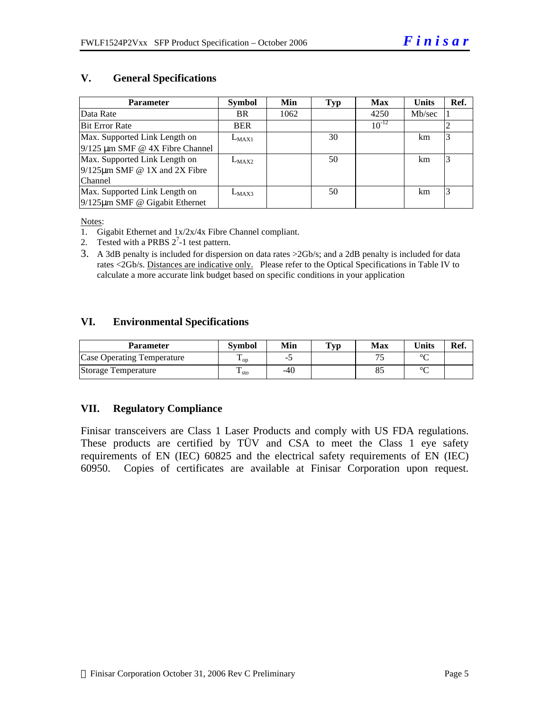## **V. General Specifications**

| <b>Parameter</b>                     | <b>Symbol</b> | Min  | <b>Typ</b> | <b>Max</b> | <b>Units</b> | Ref. |
|--------------------------------------|---------------|------|------------|------------|--------------|------|
| Data Rate                            | <b>BR</b>     | 1062 |            | 4250       | Mb/sec       |      |
| <b>Bit Error Rate</b>                | <b>BER</b>    |      |            | $10^{-12}$ |              |      |
| Max. Supported Link Length on        | $L_{MAX1}$    |      | 30         |            | km           |      |
| $9/125 \mu m$ SMF @ 4X Fibre Channel |               |      |            |            |              |      |
| Max. Supported Link Length on        | $L_{MAX2}$    |      | 50         |            | km           |      |
| $9/125 \mu m$ SMF @ 1X and 2X Fibre  |               |      |            |            |              |      |
| Channel                              |               |      |            |            |              |      |
| Max. Supported Link Length on        | $L_{MAX3}$    |      | 50         |            | km           |      |
| $9/125 \mu m$ SMF @ Gigabit Ethernet |               |      |            |            |              |      |

Notes:

- 1. Gigabit Ethernet and 1x/2x/4x Fibre Channel compliant.
- 2. Tested with a PRBS  $2^7$ -1 test pattern.
- 3. A 3dB penalty is included for dispersion on data rates >2Gb/s; and a 2dB penalty is included for data rates <2Gb/s. Distances are indicative only. Please refer to the Optical Specifications in Table IV to calculate a more accurate link budget based on specific conditions in your application

## **VI. Environmental Specifications**

| <b>Parameter</b>                  | <b>Symbol</b>          | Min   | $\mathbf{T}_{\mathbf{V}\mathbf{p}}$ | Max | <b>Units</b> | Ref. |
|-----------------------------------|------------------------|-------|-------------------------------------|-----|--------------|------|
| <b>Case Operating Temperature</b> | $\cdot$ op             |       |                                     |     | $\sim$       |      |
| Storage Temperature               | m<br>$\frac{1}{1}$ sto | $-40$ |                                     |     | $\sim$       |      |

## **VII. Regulatory Compliance**

Finisar transceivers are Class 1 Laser Products and comply with US FDA regulations. These products are certified by TÜV and CSA to meet the Class 1 eye safety requirements of EN (IEC) 60825 and the electrical safety requirements of EN (IEC) 60950. Copies of certificates are available at Finisar Corporation upon request.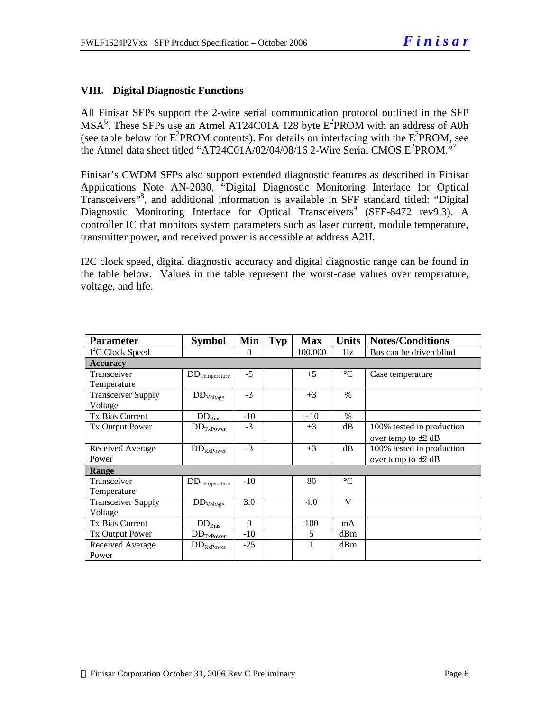## **VIII. Digital Diagnostic Functions**

All Finisar SFPs support the 2-wire serial communication protocol outlined in the SFP  $MSA<sup>6</sup>$ . These SFPs use an Atmel AT24C01A 128 byte  $E<sup>2</sup>$ PROM with an address of A0h (see table below for  $E^2$ PROM contents). For details on interfacing with the  $E^2$ PROM, see the Atmel data sheet titled "AT24C01A/02/04/08/16 2-Wire Serial CMOS  $E^2$ PROM."<sup>7</sup>

Finisar's CWDM SFPs also support extended diagnostic features as described in Finisar Applications Note AN-2030, "Digital Diagnostic Monitoring Interface for Optical Transceivers"<sup>8</sup> , and additional information is available in SFF standard titled: "Digital Diagnostic Monitoring Interface for Optical Transceivers<sup>9</sup> (SFF-8472 rev9.3). A controller IC that monitors system parameters such as laser current, module temperature, transmitter power, and received power is accessible at address A2H.

I2C clock speed, digital diagnostic accuracy and digital diagnostic range can be found in the table below. Values in the table represent the worst-case values over temperature, voltage, and life.

| <b>Parameter</b>             | <b>Symbol</b>            | Min      | Typ | <b>Max</b> | <b>Units</b>    | <b>Notes/Conditions</b>   |  |  |  |
|------------------------------|--------------------------|----------|-----|------------|-----------------|---------------------------|--|--|--|
| I <sup>2</sup> C Clock Speed |                          | $\theta$ |     | 100,000    | Hz              | Bus can be driven blind   |  |  |  |
| <b>Accuracy</b>              |                          |          |     |            |                 |                           |  |  |  |
| Transceiver                  | $\rm{DD}_{Temperature}$  | $-5$     |     | $+5$       | $^{\circ}C$     | Case temperature          |  |  |  |
| Temperature                  |                          |          |     |            |                 |                           |  |  |  |
| <b>Transceiver Supply</b>    | $DD_{Voltage}$           | $-3$     |     | $+3$       | $\%$            |                           |  |  |  |
| Voltage                      |                          |          |     |            |                 |                           |  |  |  |
| <b>Tx Bias Current</b>       | $DD_{Bias}$              | $-10$    |     | $+10$      | $\%$            |                           |  |  |  |
| <b>Tx Output Power</b>       | $DD_{TxPower}$           | $-3$     |     | $+3$       | dB              | 100% tested in production |  |  |  |
|                              |                          |          |     |            |                 | over temp to $\pm 2$ dB   |  |  |  |
| Received Average             | $\rm{DD}_{RxPower}$      | $-3$     |     | $+3$       | dB              | 100% tested in production |  |  |  |
| Power                        |                          |          |     |            |                 | over temp to $\pm 2$ dB   |  |  |  |
| Range                        |                          |          |     |            |                 |                           |  |  |  |
| Transceiver                  | $DD$ Temperature         | $-10$    |     | 80         | $\rm ^{\circ}C$ |                           |  |  |  |
| Temperature                  |                          |          |     |            |                 |                           |  |  |  |
| <b>Transceiver Supply</b>    | $\rm{DD}_{\rm{Voltage}}$ | 3.0      |     | 4.0        | $\mathbf{V}$    |                           |  |  |  |
| Voltage                      |                          |          |     |            |                 |                           |  |  |  |
| Tx Bias Current              | $DD_{Bias}$              | $\theta$ |     | 100        | mA              |                           |  |  |  |
| Tx Output Power              | $DD_{TxPower}$           | $-10$    |     | 5          | dBm             |                           |  |  |  |
| Received Average             | $DD_{RxPower}$           | $-25$    |     | 1          | dBm             |                           |  |  |  |
| Power                        |                          |          |     |            |                 |                           |  |  |  |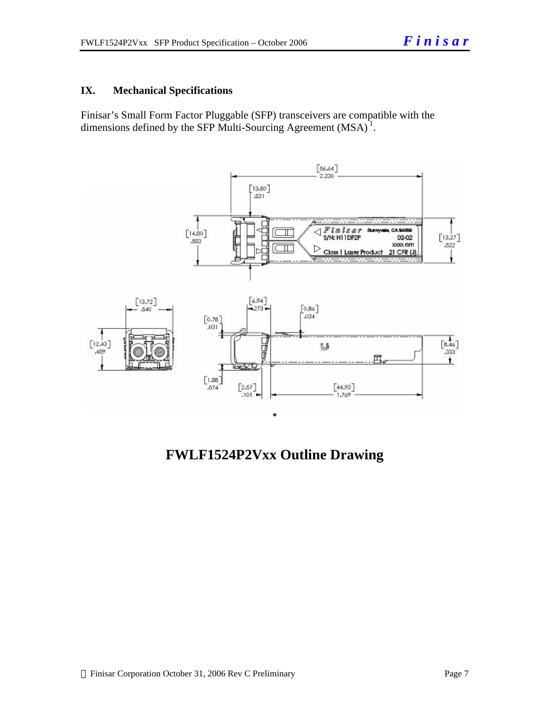## **IX. Mechanical Specifications**

Finisar's Small Form Factor Pluggable (SFP) transceivers are compatible with the dimensions defined by the SFP Multi-Sourcing Agreement  $(MSA)^{1}$ .



**FWLF1524P2Vxx Outline Drawing**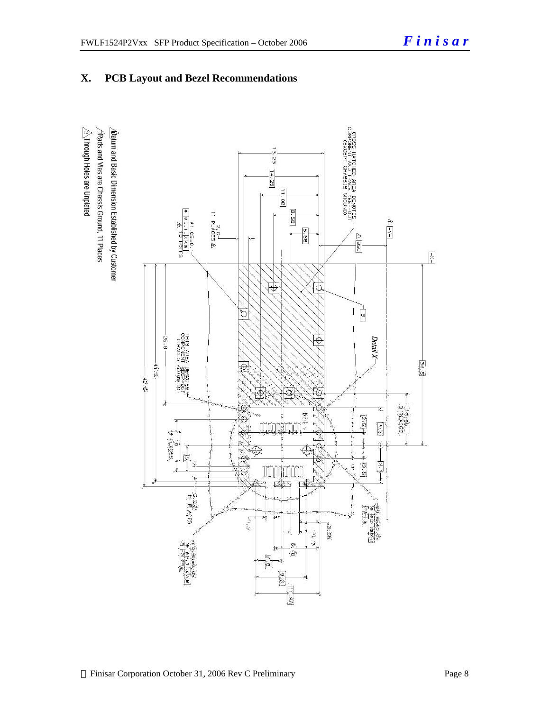## **X. PCB Layout and Bezel Recommendations**

 $\hat{\triangle}$ Through Holes are Unplated  $\Delta$ atum and Basic Dimension Established by Customer  $\frac{1}{2}$ Rads and Vias are Chassis Ground, 11 Places

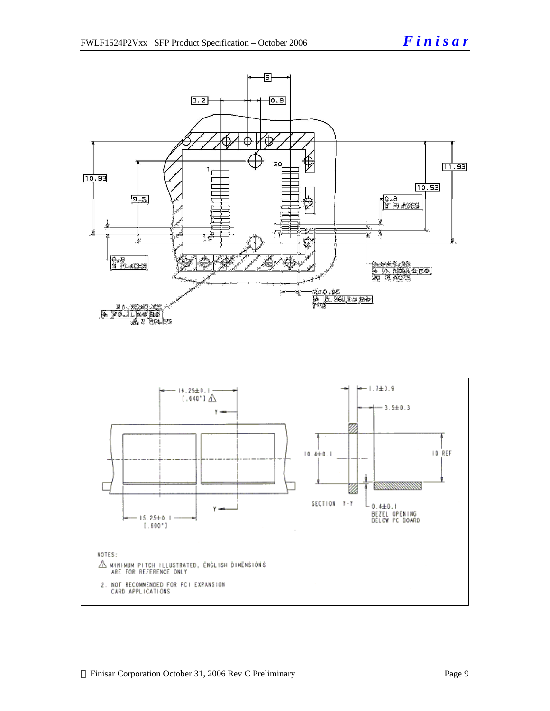

 $\bigtriangleup$  Minimun pitch illustrated, énglish diménsions<br>Are for reference only

 $[.600!]$ 

2. NOT RECOMMENDED FOR PCI EXPANSION<br>CARD APPLICATIONS

NOTES: